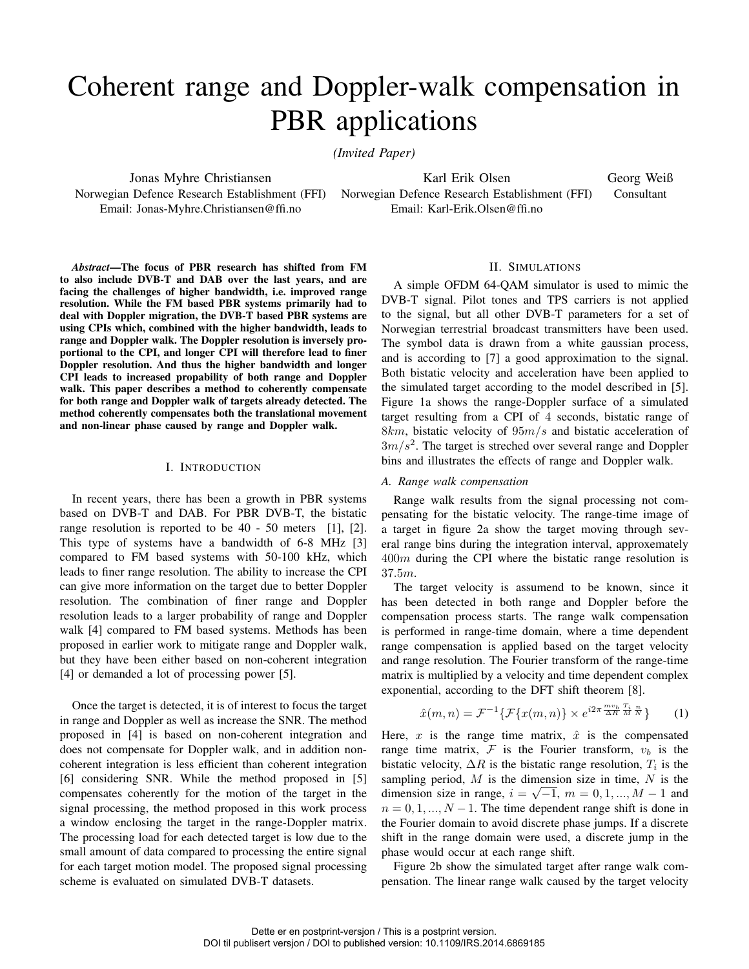# Coherent range and Doppler-walk compensation in PBR applications

*(Invited Paper)*

Jonas Myhre Christiansen Norwegian Defence Research Establishment (FFI) Norwegian Defence Research Establishment (FFI) Email: Jonas-Myhre.Christiansen@ffi.no

Karl Erik Olsen Email: Karl-Erik.Olsen@ffi.no Georg Weiß Consultant

*Abstract*—The focus of PBR research has shifted from FM to also include DVB-T and DAB over the last years, and are facing the challenges of higher bandwidth, i.e. improved range resolution. While the FM based PBR systems primarily had to deal with Doppler migration, the DVB-T based PBR systems are using CPIs which, combined with the higher bandwidth, leads to range and Doppler walk. The Doppler resolution is inversely proportional to the CPI, and longer CPI will therefore lead to finer Doppler resolution. And thus the higher bandwidth and longer CPI leads to increased propability of both range and Doppler walk. This paper describes a method to coherently compensate for both range and Doppler walk of targets already detected. The method coherently compensates both the translational movement and non-linear phase caused by range and Doppler walk.

## I. INTRODUCTION

In recent years, there has been a growth in PBR systems based on DVB-T and DAB. For PBR DVB-T, the bistatic range resolution is reported to be 40 - 50 meters [1], [2]. This type of systems have a bandwidth of 6-8 MHz [3] compared to FM based systems with 50-100 kHz, which leads to finer range resolution. The ability to increase the CPI can give more information on the target due to better Doppler resolution. The combination of finer range and Doppler resolution leads to a larger probability of range and Doppler walk [4] compared to FM based systems. Methods has been proposed in earlier work to mitigate range and Doppler walk, but they have been either based on non-coherent integration [4] or demanded a lot of processing power [5].

Once the target is detected, it is of interest to focus the target in range and Doppler as well as increase the SNR. The method proposed in [4] is based on non-coherent integration and does not compensate for Doppler walk, and in addition noncoherent integration is less efficient than coherent integration [6] considering SNR. While the method proposed in [5] compensates coherently for the motion of the target in the signal processing, the method proposed in this work process a window enclosing the target in the range-Doppler matrix. The processing load for each detected target is low due to the small amount of data compared to processing the entire signal for each target motion model. The proposed signal processing scheme is evaluated on simulated DVB-T datasets.

## II. SIMULATIONS

A simple OFDM 64-QAM simulator is used to mimic the DVB-T signal. Pilot tones and TPS carriers is not applied to the signal, but all other DVB-T parameters for a set of Norwegian terrestrial broadcast transmitters have been used. The symbol data is drawn from a white gaussian process, and is according to [7] a good approximation to the signal. Both bistatic velocity and acceleration have been applied to the simulated target according to the model described in [5]. Figure 1a shows the range-Doppler surface of a simulated target resulting from a CPI of 4 seconds, bistatic range of 8km, bistatic velocity of  $95m/s$  and bistatic acceleration of  $3m/s<sup>2</sup>$ . The target is streched over several range and Doppler bins and illustrates the effects of range and Doppler walk.

## *A. Range walk compensation*

Range walk results from the signal processing not compensating for the bistatic velocity. The range-time image of a target in figure 2a show the target moving through several range bins during the integration interval, approxemately  $400m$  during the CPI where the bistatic range resolution is 37.5m.

The target velocity is assumend to be known, since it has been detected in both range and Doppler before the compensation process starts. The range walk compensation is performed in range-time domain, where a time dependent range compensation is applied based on the target velocity and range resolution. The Fourier transform of the range-time matrix is multiplied by a velocity and time dependent complex exponential, according to the DFT shift theorem [8].

$$
\hat{x}(m,n) = \mathcal{F}^{-1}\{\mathcal{F}\{x(m,n)\} \times e^{i2\pi \frac{m v_b}{\Delta R} \frac{T_i}{M} \frac{n}{N}}\} \qquad (1)
$$

Here, x is the range time matrix,  $\hat{x}$  is the compensated range time matrix,  $\mathcal F$  is the Fourier transform,  $v_b$  is the bistatic velocity,  $\Delta R$  is the bistatic range resolution,  $T_i$  is the sampling period,  $M$  is the dimension size in time,  $N$  is the dimension size in range,  $i = \sqrt{-1}$ ,  $m = 0, 1, ..., M - 1$  and  $n = 0, 1, ..., N - 1$ . The time dependent range shift is done in the Fourier domain to avoid discrete phase jumps. If a discrete shift in the range domain were used, a discrete jump in the phase would occur at each range shift.

Figure 2b show the simulated target after range walk compensation. The linear range walk caused by the target velocity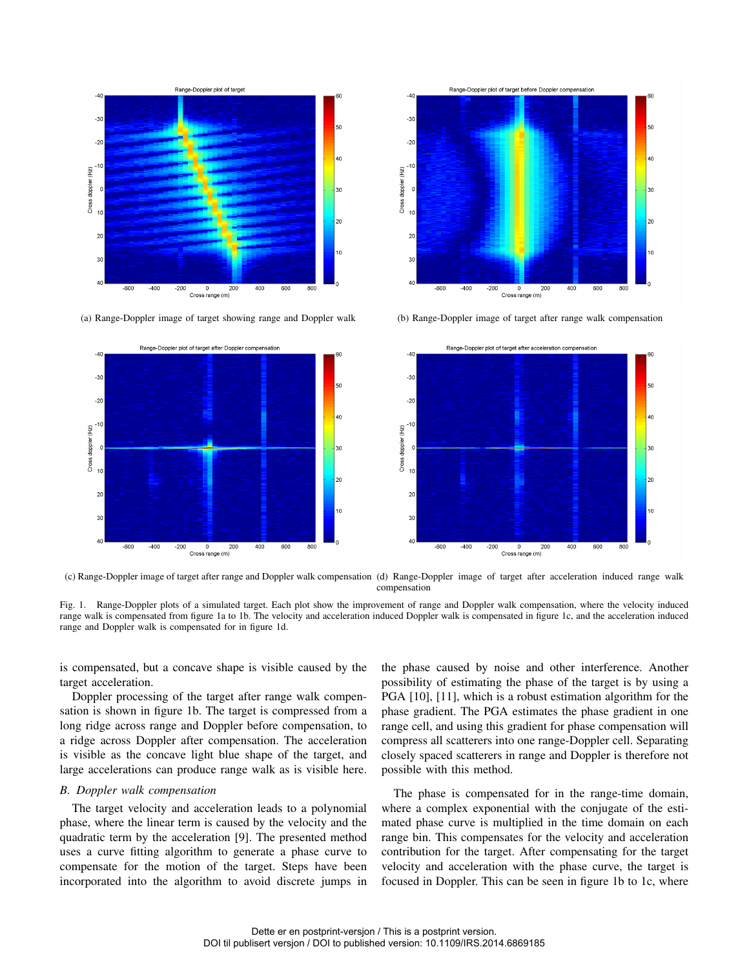

(a) Range-Doppler image of target showing range and Doppler walk (b) Range-Doppler image of target after range walk compensation







(c) Range-Doppler image of target after range and Doppler walk compensation (d) Range-Doppler image of target after acceleration induced range walk compensation

Fig. 1. Range-Doppler plots of a simulated target. Each plot show the improvement of range and Doppler walk compensation, where the velocity induced range walk is compensated from figure 1a to 1b. The velocity and acceleration induced Doppler walk is compensated in figure 1c, and the acceleration induced range and Doppler walk is compensated for in figure 1d.

is compensated, but a concave shape is visible caused by the target acceleration.

Doppler processing of the target after range walk compensation is shown in figure 1b. The target is compressed from a long ridge across range and Doppler before compensation, to a ridge across Doppler after compensation. The acceleration is visible as the concave light blue shape of the target, and large accelerations can produce range walk as is visible here.

#### *B. Doppler walk compensation*

The target velocity and acceleration leads to a polynomial phase, where the linear term is caused by the velocity and the quadratic term by the acceleration [9]. The presented method uses a curve fitting algorithm to generate a phase curve to compensate for the motion of the target. Steps have been incorporated into the algorithm to avoid discrete jumps in

the phase caused by noise and other interference. Another possibility of estimating the phase of the target is by using a PGA [10], [11], which is a robust estimation algorithm for the phase gradient. The PGA estimates the phase gradient in one range cell, and using this gradient for phase compensation will compress all scatterers into one range-Doppler cell. Separating closely spaced scatterers in range and Doppler is therefore not possible with this method.

The phase is compensated for in the range-time domain, where a complex exponential with the conjugate of the estimated phase curve is multiplied in the time domain on each range bin. This compensates for the velocity and acceleration contribution for the target. After compensating for the target velocity and acceleration with the phase curve, the target is focused in Doppler. This can be seen in figure 1b to 1c, where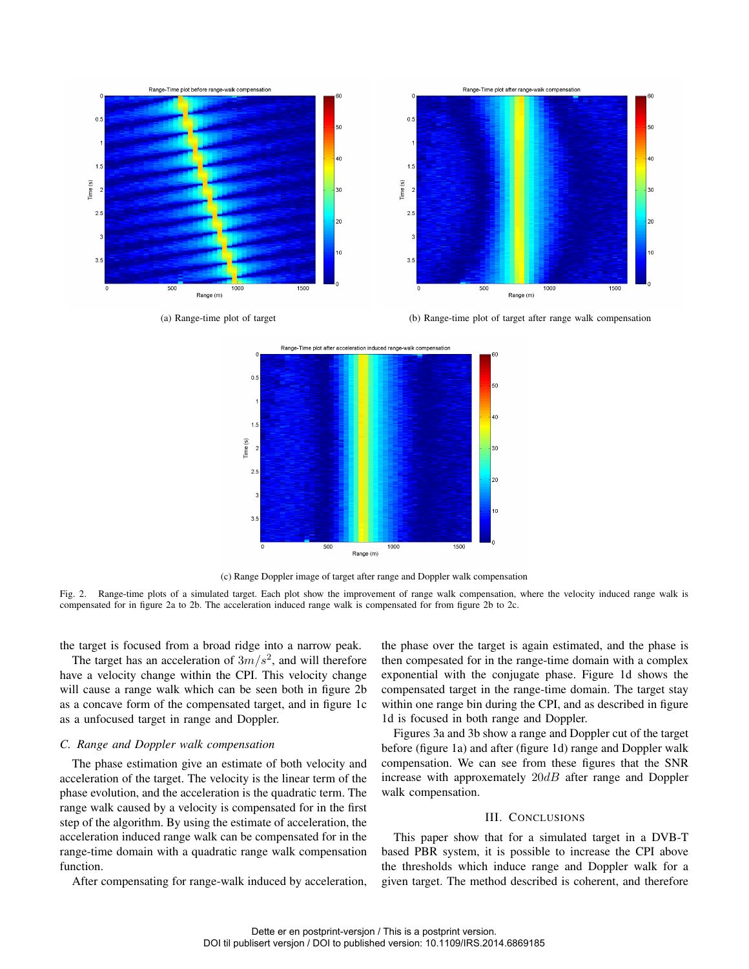

(a) Range-time plot of target (b) Range-time plot of target after range walk compensation



(c) Range Doppler image of target after range and Doppler walk compensation

Fig. 2. Range-time plots of a simulated target. Each plot show the improvement of range walk compensation, where the velocity induced range walk is compensated for in figure 2a to 2b. The acceleration induced range walk is compensated for from figure 2b to 2c.

the target is focused from a broad ridge into a narrow peak.

The target has an acceleration of  $3m/s^2$ , and will therefore have a velocity change within the CPI. This velocity change will cause a range walk which can be seen both in figure 2b as a concave form of the compensated target, and in figure 1c as a unfocused target in range and Doppler.

# *C. Range and Doppler walk compensation*

The phase estimation give an estimate of both velocity and acceleration of the target. The velocity is the linear term of the phase evolution, and the acceleration is the quadratic term. The range walk caused by a velocity is compensated for in the first step of the algorithm. By using the estimate of acceleration, the acceleration induced range walk can be compensated for in the range-time domain with a quadratic range walk compensation function.

After compensating for range-walk induced by acceleration,

the phase over the target is again estimated, and the phase is then compesated for in the range-time domain with a complex exponential with the conjugate phase. Figure 1d shows the compensated target in the range-time domain. The target stay within one range bin during the CPI, and as described in figure 1d is focused in both range and Doppler.

Figures 3a and 3b show a range and Doppler cut of the target before (figure 1a) and after (figure 1d) range and Doppler walk compensation. We can see from these figures that the SNR increase with approxemately  $20dB$  after range and Doppler walk compensation.

## III. CONCLUSIONS

This paper show that for a simulated target in a DVB-T based PBR system, it is possible to increase the CPI above the thresholds which induce range and Doppler walk for a given target. The method described is coherent, and therefore